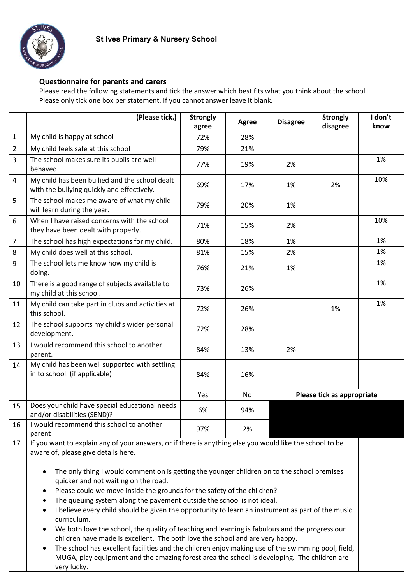## **Questionnaire for parents and carers**

Please read the following statements and tick the answer which best fits what you think about the school. Please only tick one box per statement. If you cannot answer leave it blank.

|                | (Please tick.)                                                                                           | <b>Strongly</b><br>agree | Agree | <b>Disagree</b> | <b>Strongly</b><br>disagree | I don't<br>know |
|----------------|----------------------------------------------------------------------------------------------------------|--------------------------|-------|-----------------|-----------------------------|-----------------|
| 1              | My child is happy at school                                                                              | 72%                      | 28%   |                 |                             |                 |
| $\overline{2}$ | My child feels safe at this school                                                                       | 79%                      | 21%   |                 |                             |                 |
| 3              | The school makes sure its pupils are well<br>behaved.                                                    | 77%                      | 19%   | 2%              |                             | 1%              |
| $\overline{4}$ | My child has been bullied and the school dealt<br>with the bullying quickly and effectively.             | 69%                      | 17%   | 1%              | 2%                          | 10%             |
| 5              | The school makes me aware of what my child<br>will learn during the year.                                | 79%                      | 20%   | 1%              |                             |                 |
| 6              | When I have raised concerns with the school<br>they have been dealt with properly.                       | 71%                      | 15%   | 2%              |                             | 10%             |
| $\overline{7}$ | The school has high expectations for my child.                                                           | 80%                      | 18%   | 1%              |                             | 1%              |
| 8              | My child does well at this school.                                                                       | 81%                      | 15%   | 2%              |                             | 1%              |
| 9              | The school lets me know how my child is<br>doing.                                                        | 76%                      | 21%   | 1%              |                             | 1%              |
| 10             | There is a good range of subjects available to<br>my child at this school.                               | 73%                      | 26%   |                 |                             | 1%              |
| 11             | My child can take part in clubs and activities at<br>this school.                                        | 72%                      | 26%   |                 | 1%                          | 1%              |
| 12             | The school supports my child's wider personal<br>development.                                            | 72%                      | 28%   |                 |                             |                 |
| 13             | I would recommend this school to another<br>parent.                                                      | 84%                      | 13%   | 2%              |                             |                 |
| 14             | My child has been well supported with settling<br>in to school. (if applicable)                          | 84%                      | 16%   |                 |                             |                 |
|                |                                                                                                          | Yes                      | No    |                 | Please tick as appropriate  |                 |
| 15             | Does your child have special educational needs<br>and/or disabilities (SEND)?                            | 6%                       | 94%   |                 |                             |                 |
| 16             | I would recommend this school to another<br>parent                                                       | 97%                      | 2%    |                 |                             |                 |
| 17             | If you want to explain any of your answers, or if there is anything else you would like the school to be |                          |       |                 |                             |                 |

aware of, please give details here.

- The only thing I would comment on is getting the younger children on to the school premises quicker and not waiting on the road.
- Please could we move inside the grounds for the safety of the children?
- The queuing system along the pavement outside the school is not ideal.
- I believe every child should be given the opportunity to learn an instrument as part of the music curriculum.
- We both love the school, the quality of teaching and learning is fabulous and the progress our children have made is excellent. The both love the school and are very happy.
- The school has excellent facilities and the children enjoy making use of the swimming pool, field, MUGA, play equipment and the amazing forest area the school is developing. The children are very lucky.